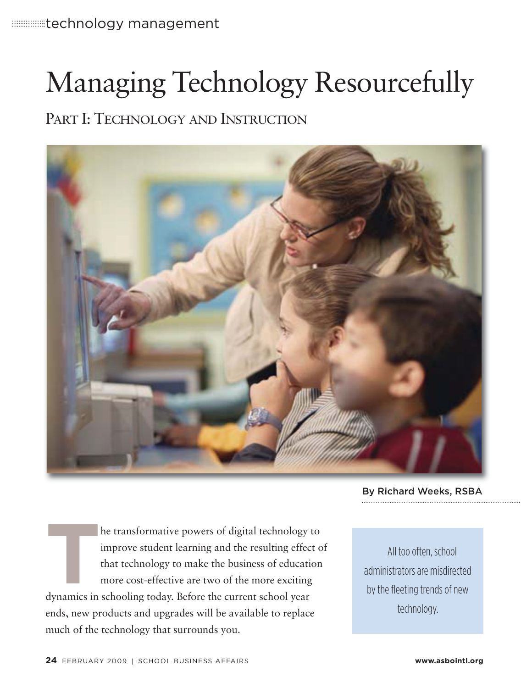# Managing Technology Resourcefully

### PART I: TECHNOLOGY AND INSTRUCTION



By Richard Weeks, RSBA

**THE EXECUTE SCHOCE SET ASSOCIATED SET AND SET AND SURVEYORDED SURVEYOR SHOWST AND THAT THE SCHOOL WAS SERVICED AND SURVEYORDED AND SUPPORT AND AN APPROXIMATION SUPPORT AND SUPPORT AND SUPPORT AND SUPPORT AND SUPPORT AND S** improve student learning and the resulting effect of that technology to make the business of education more cost-effective are two of the more exciting dynamics in schooling today. Before the current school year ends, new products and upgrades will be available to replace much of the technology that surrounds you.

All too often, school administrators are misdirected by the fleeting trends of new technology.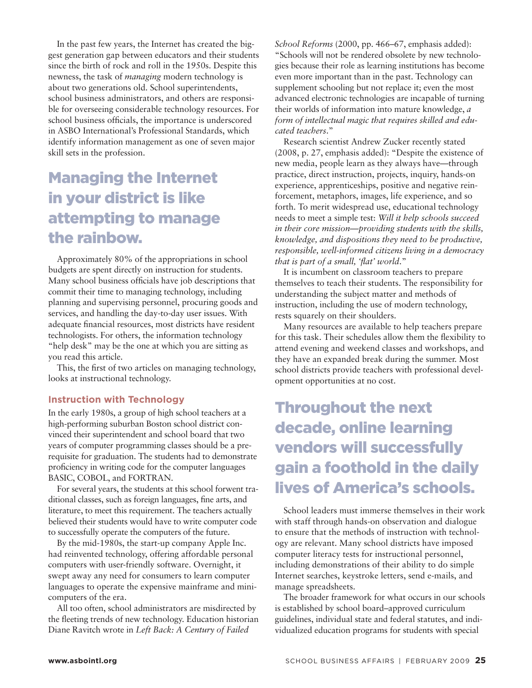In the past few years, the Internet has created the biggest generation gap between educators and their students since the birth of rock and roll in the 1950s. Despite this newness, the task of *managing* modern technology is about two generations old. School superintendents, school business administrators, and others are responsible for overseeing considerable technology resources. For school business officials, the importance is underscored in ASBO International's Professional Standards, which identify information management as one of seven major skill sets in the profession.

## Managing the Internet in your district is like attempting to manage the rainbow.

Approximately 80% of the appropriations in school budgets are spent directly on instruction for students. Many school business officials have job descriptions that commit their time to managing technology, including planning and supervising personnel, procuring goods and services, and handling the day-to-day user issues. With adequate financial resources, most districts have resident technologists. For others, the information technology "help desk" may be the one at which you are sitting as you read this article.

This, the first of two articles on managing technology, looks at instructional technology.

#### **Instruction with Technology**

In the early 1980s, a group of high school teachers at a high-performing suburban Boston school district convinced their superintendent and school board that two years of computer programming classes should be a prerequisite for graduation. The students had to demonstrate proficiency in writing code for the computer languages BASIC, COBOL, and FORTRAN.

For several years, the students at this school forwent traditional classes, such as foreign languages, fine arts, and literature, to meet this requirement. The teachers actually believed their students would have to write computer code to successfully operate the computers of the future.

By the mid-1980s, the start-up company Apple Inc. had reinvented technology, offering affordable personal computers with user-friendly software. Overnight, it swept away any need for consumers to learn computer languages to operate the expensive mainframe and minicomputers of the era.

All too often, school administrators are misdirected by the fleeting trends of new technology. Education historian Diane Ravitch wrote in *Left Back: A Century of Failed*

*School Reforms* (2000, pp. 466–67, emphasis added): "Schools will not be rendered obsolete by new technologies because their role as learning institutions has become even more important than in the past. Technology can supplement schooling but not replace it; even the most advanced electronic technologies are incapable of turning their worlds of information into mature knowledge, *a form of intellectual magic that requires skilled and educated teachers*."

Research scientist Andrew Zucker recently stated (2008, p. 27, emphasis added): "Despite the existence of new media, people learn as they always have—through practice, direct instruction, projects, inquiry, hands-on experience, apprenticeships, positive and negative reinforcement, metaphors, images, life experience, and so forth. To merit widespread use, educational technology needs to meet a simple test: *Will it help schools succeed in their core mission—providing students with the skills, knowledge, and dispositions they need to be productive, responsible, well-informed citizens living in a democracy that is part of a small, 'flat' world*."

It is incumbent on classroom teachers to prepare themselves to teach their students. The responsibility for understanding the subject matter and methods of instruction, including the use of modern technology, rests squarely on their shoulders.

Many resources are available to help teachers prepare for this task. Their schedules allow them the flexibility to attend evening and weekend classes and workshops, and they have an expanded break during the summer. Most school districts provide teachers with professional development opportunities at no cost.

### Throughout the next decade, online learning vendors will successfully gain a foothold in the daily lives of America's schools.

School leaders must immerse themselves in their work with staff through hands-on observation and dialogue to ensure that the methods of instruction with technology are relevant. Many school districts have imposed computer literacy tests for instructional personnel, including demonstrations of their ability to do simple Internet searches, keystroke letters, send e-mails, and manage spreadsheets.

The broader framework for what occurs in our schools is established by school board–approved curriculum guidelines, individual state and federal statutes, and individualized education programs for students with special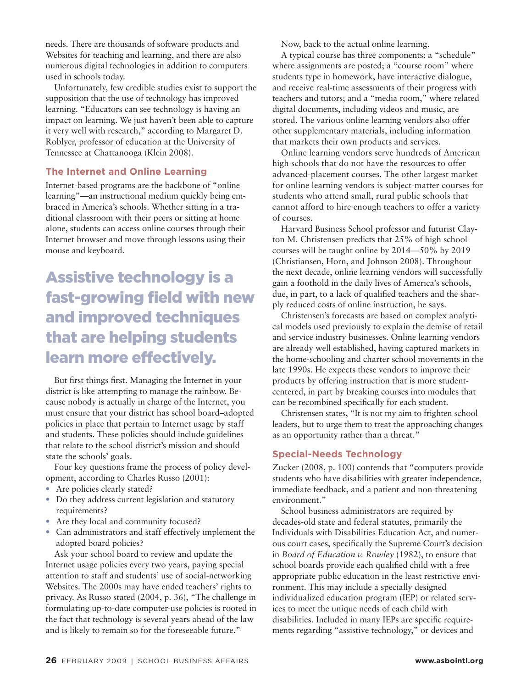needs. There are thousands of software products and Websites for teaching and learning, and there are also numerous digital technologies in addition to computers used in schools today.

Unfortunately, few credible studies exist to support the supposition that the use of technology has improved learning. "Educators can see technology is having an impact on learning. We just haven't been able to capture it very well with research," according to Margaret D. Roblyer, professor of education at the University of Tennessee at Chattanooga (Klein 2008).

#### **The Internet and Online Learning**

Internet-based programs are the backbone of "online learning"—an instructional medium quickly being embraced in America's schools. Whether sitting in a traditional classroom with their peers or sitting at home alone, students can access online courses through their Internet browser and move through lessons using their mouse and keyboard.

# Assistive technology is a fast-growing field with new and improved techniques that are helping students learn more effectively.

But first things first. Managing the Internet in your district is like attempting to manage the rainbow. Because nobody is actually in charge of the Internet, you must ensure that your district has school board–adopted policies in place that pertain to Internet usage by staff and students. These policies should include guidelines that relate to the school district's mission and should state the schools' goals.

Four key questions frame the process of policy development, according to Charles Russo (2001):

- Are policies clearly stated?
- Do they address current legislation and statutory requirements?
- Are they local and community focused?
- Can administrators and staff effectively implement the adopted board policies?

Ask your school board to review and update the Internet usage policies every two years, paying special attention to staff and students' use of social-networking Websites. The 2000s may have ended teachers' rights to privacy. As Russo stated (2004, p. 36), "The challenge in formulating up-to-date computer-use policies is rooted in the fact that technology is several years ahead of the law and is likely to remain so for the foreseeable future."

Now, back to the actual online learning.

A typical course has three components: a "schedule" where assignments are posted; a "course room" where students type in homework, have interactive dialogue, and receive real-time assessments of their progress with teachers and tutors; and a "media room," where related digital documents, including videos and music, are stored. The various online learning vendors also offer other supplementary materials, including information that markets their own products and services.

Online learning vendors serve hundreds of American high schools that do not have the resources to offer advanced-placement courses. The other largest market for online learning vendors is subject-matter courses for students who attend small, rural public schools that cannot afford to hire enough teachers to offer a variety of courses.

Harvard Business School professor and futurist Clayton M. Christensen predicts that 25% of high school courses will be taught online by 2014—50% by 2019 (Christiansen, Horn, and Johnson 2008). Throughout the next decade, online learning vendors will successfully gain a foothold in the daily lives of America's schools, due, in part, to a lack of qualified teachers and the shar ply reduced costs of online instruction, he says.

Christensen's forecasts are based on complex analytical models used previously to explain the demise of retail and service industry businesses. Online learning vendors are already well established, having captured markets in the home-schooling and charter school movements in the late 1990s. He expects these vendors to improve their products by offering instruction that is more studentcentered, in part by breaking courses into modules that can be recombined specifically for each student.

Christensen states, "It is not my aim to frighten school leaders, but to urge them to treat the approaching changes as an opportunity rather than a threat."

#### **Special-Needs Technology**

Zucker (2008, p. 100) contends that **"c**omputers provide students who have disabilities with greater independence, immediate feedback, and a patient and non-threatening environment."

School business administrators are required by decades-old state and federal statutes, primarily the Individuals with Disabilities Education Act, and numerous court cases, specifically the Supreme Court's decision in *Board of Education v. Rowley* (1982), to ensure that school boards provide each qualified child with a free appropriate public education in the least restrictive environment. This may include a specially designed individualized education program (IEP) or related services to meet the unique needs of each child with disabilities. Included in many IEPs are specific requirements regarding "assistive technology," or devices and